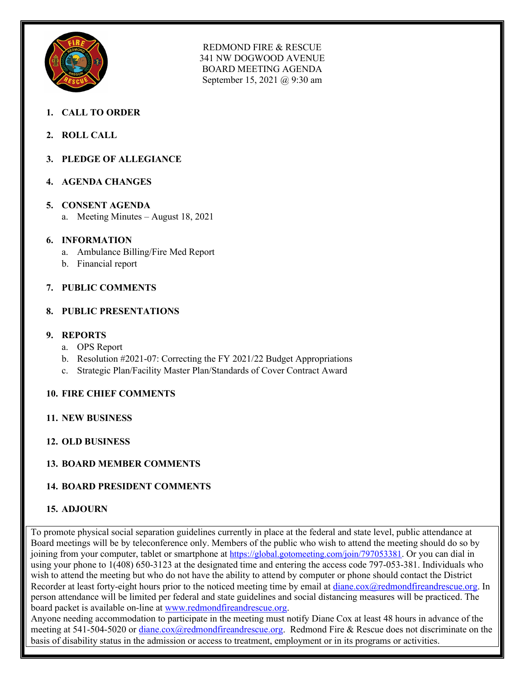

REDMOND FIRE & RESCUE 341 NW DOGWOOD AVENUE BOARD MEETING AGENDA September 15, 2021 @ 9:30 am

- **1. CALL TO ORDER**
- **2. ROLL CALL**
- **3. PLEDGE OF ALLEGIANCE**
- **4. AGENDA CHANGES**

#### **5. CONSENT AGENDA**

a. Meeting Minutes – August 18, 2021

#### **6. INFORMATION**

- a. Ambulance Billing/Fire Med Report
- b. Financial report

## **7. PUBLIC COMMENTS**

#### **8. PUBLIC PRESENTATIONS**

#### **9. REPORTS**

- a. OPS Report
- b. Resolution #2021-07: Correcting the FY 2021/22 Budget Appropriations
- c. Strategic Plan/Facility Master Plan/Standards of Cover Contract Award

## **10. FIRE CHIEF COMMENTS**

- **11. NEW BUSINESS**
- **12. OLD BUSINESS**

## **13. BOARD MEMBER COMMENTS**

## **14. BOARD PRESIDENT COMMENTS**

## **15. ADJOURN**

To promote physical social separation guidelines currently in place at the federal and state level, public attendance at Board meetings will be by teleconference only. Members of the public who wish to attend the meeting should do so by joining from your computer, tablet or smartphone at [https://global.gotomeeting.com/join/797053381.](https://global.gotomeeting.com/join/797053381) Or you can dial in using your phone to 1(408) 650-3123 at the designated time and entering the access code 797-053-381. Individuals who wish to attend the meeting but who do not have the ability to attend by computer or phone should contact the District Recorder at least forty-eight hours prior to the noticed meeting time by email at [diane.cox@redmondfireandrescue.org.](mailto:diane.cox@redmondfireandrescue.org) In person attendance will be limited per federal and state guidelines and social distancing measures will be practiced. The board packet is available on-line at [www.redmondfireandrescue.org.](http://www.redmondfireandrescue.org/)

Anyone needing accommodation to participate in the meeting must notify Diane Cox at least 48 hours in advance of the meeting at 541-504-5020 or [diane.cox@redmondfireandrescue.org.](mailto:diane.cox@redmondfireandrescue.org) Redmond Fire & Rescue does not discriminate on the basis of disability status in the admission or access to treatment, employment or in its programs or activities.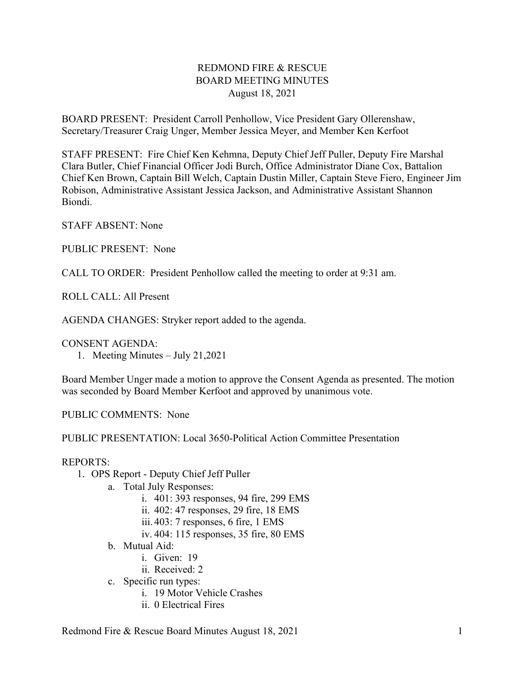## REDMOND FIRE & RESCUE BOARD MEETING MINUTES August 18, 2021

BOARD PRESENT: President Carroll Penhollow, Vice President Gary Ollerenshaw, Secretary/Treasurer Craig Unger, Member Jessica Meyer, and Member Ken Kerfoot

STAFF PRESENT: Fire Chief Ken Kehmna, Deputy Chief Jeff Puller, Deputy Fire Marshal Clara Butler, Chief Financial Officer Jodi Burch, Office Administrator Diane Cox, Battalion Chief Ken Brown, Captain Bill Welch, Captain Dustin Miller, Captain Steve Fiero, Engineer Jim Robison, Administrative Assistant Jessica Jackson, and Administrative Assistant Shannon Biondi.

STAFF ABSENT: None

PUBLIC PRESENT: None

CALL TO ORDER: President Penhollow called the meeting to order at 9:31 am.

ROLL CALL: All Present

AGENDA CHANGES: Stryker report added to the agenda.

CONSENT AGENDA:

1. Meeting Minutes – July 21,2021

Board Member Unger made a motion to approve the Consent Agenda as presented. The motion was seconded by Board Member Kerfoot and approved by unanimous vote.

PUBLIC COMMENTS: None

PUBLIC PRESENTATION: Local 3650-Political Action Committee Presentation

#### REPORTS:

- 1. OPS Report Deputy Chief Jeff Puller
	- a. Total July Responses:
		- i. 401: 393 responses, 94 fire, 299 EMS
		- ii. 402: 47 responses, 29 fire, 18 EMS
		- iii. 403: 7 responses, 6 fire, 1 EMS
		- iv. 404: 115 responses, 35 fire, 80 EMS
	- b. Mutual Aid:
		- i. Given: 19
		- ii. Received: 2
	- c. Specific run types:
		- i. 19 Motor Vehicle Crashes
		- ii. 0 Electrical Fires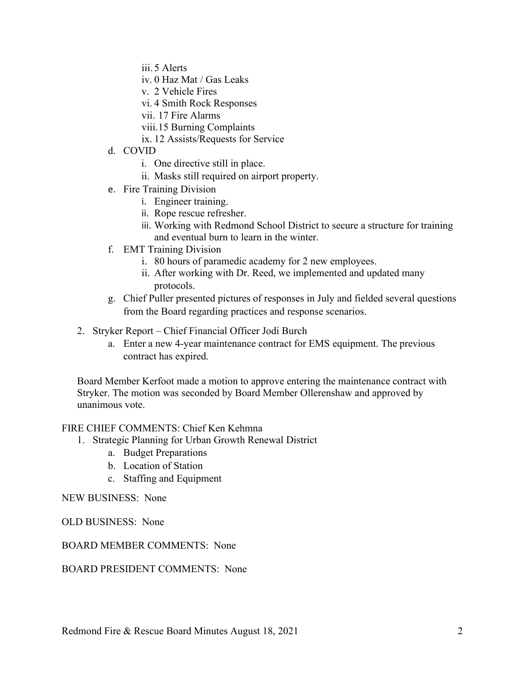- iii. 5 Alerts
- iv. 0 Haz Mat / Gas Leaks
- v. 2 Vehicle Fires
- vi. 4 Smith Rock Responses
- vii. 17 Fire Alarms
- viii.15 Burning Complaints
- ix. 12 Assists/Requests for Service
- d. COVID
	- i. One directive still in place.
	- ii. Masks still required on airport property.
- e. Fire Training Division
	- i. Engineer training.
	- ii. Rope rescue refresher.
	- iii. Working with Redmond School District to secure a structure for training and eventual burn to learn in the winter.
- f. EMT Training Division
	- i. 80 hours of paramedic academy for 2 new employees.
	- ii. After working with Dr. Reed, we implemented and updated many protocols.
- g. Chief Puller presented pictures of responses in July and fielded several questions from the Board regarding practices and response scenarios.
- 2. Stryker Report Chief Financial Officer Jodi Burch
	- a. Enter a new 4-year maintenance contract for EMS equipment. The previous contract has expired.

Board Member Kerfoot made a motion to approve entering the maintenance contract with Stryker. The motion was seconded by Board Member Ollerenshaw and approved by unanimous vote.

#### FIRE CHIEF COMMENTS: Chief Ken Kehmna

- 1. Strategic Planning for Urban Growth Renewal District
	- a. Budget Preparations
	- b. Location of Station
	- c. Staffing and Equipment

### NEW BUSINESS: None

#### OLD BUSINESS: None

#### BOARD MEMBER COMMENTS: None

#### BOARD PRESIDENT COMMENTS: None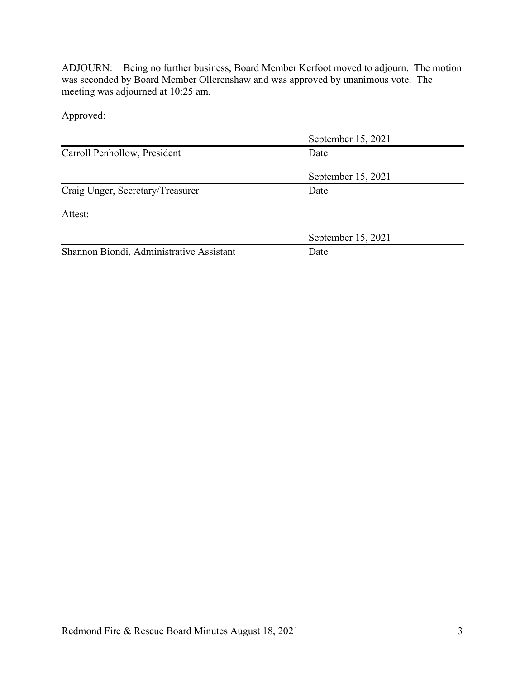ADJOURN: Being no further business, Board Member Kerfoot moved to adjourn. The motion was seconded by Board Member Ollerenshaw and was approved by unanimous vote. The meeting was adjourned at 10:25 am.

Approved:

|                                          | September 15, 2021 |  |
|------------------------------------------|--------------------|--|
| Carroll Penhollow, President             | Date               |  |
|                                          | September 15, 2021 |  |
| Craig Unger, Secretary/Treasurer         | Date               |  |
| Attest:                                  |                    |  |
|                                          | September 15, 2021 |  |
| Shannon Biondi, Administrative Assistant | Date               |  |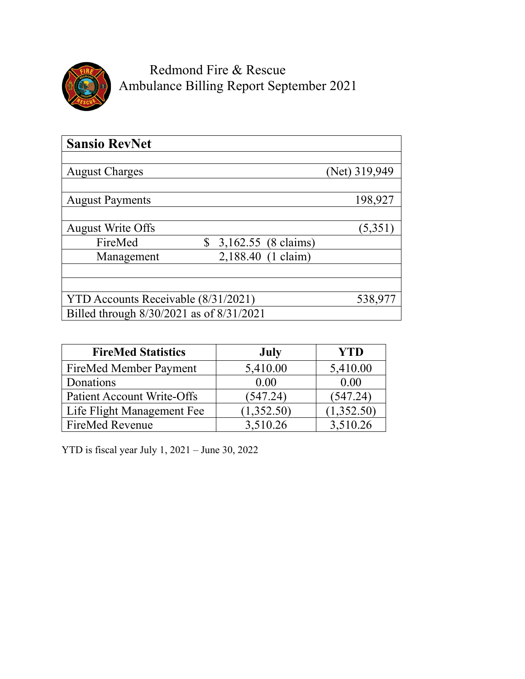

Redmond Fire & Rescue Ambulance Billing Report September 2021

| <b>Sansio RevNet</b>                     |                     |               |
|------------------------------------------|---------------------|---------------|
|                                          |                     |               |
| <b>August Charges</b>                    |                     | (Net) 319,949 |
|                                          |                     |               |
| <b>August Payments</b>                   |                     | 198,927       |
|                                          |                     |               |
| <b>August Write Offs</b>                 |                     | (5,351)       |
| FireMed<br>\$                            | 3,162.55 (8 claims) |               |
| Management                               | 2,188.40 (1 claim)  |               |
|                                          |                     |               |
|                                          |                     |               |
| YTD Accounts Receivable (8/31/2021)      |                     | 538,977       |
| Billed through 8/30/2021 as of 8/31/2021 |                     |               |

| <b>FireMed Statistics</b>         | July       | <b>YTD</b> |
|-----------------------------------|------------|------------|
| FireMed Member Payment            | 5,410.00   | 5,410.00   |
| Donations                         | 0.00       | 0.00       |
| <b>Patient Account Write-Offs</b> | (547.24)   | (547.24)   |
| Life Flight Management Fee        | (1,352.50) | (1,352.50) |
| <b>FireMed Revenue</b>            | 3,510.26   | 3,510.26   |

YTD is fiscal year July 1, 2021 – June 30, 2022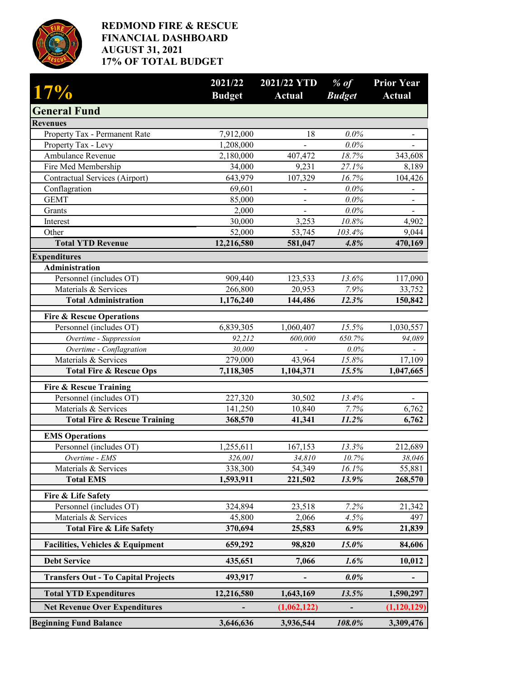

## **REDMOND FIRE & RESCUE FINANCIAL DASHBOARD AUGUST 31, 2021 17% OF TOTAL BUDGET**

| 17%                                              | 2021/22<br><b>Budget</b> | 2021/22 YTD<br><b>Actual</b> | $%$ of<br><b>Budget</b> | <b>Prior Year</b><br><b>Actual</b> |
|--------------------------------------------------|--------------------------|------------------------------|-------------------------|------------------------------------|
| <b>General Fund</b>                              |                          |                              |                         |                                    |
| <b>Revenues</b>                                  |                          |                              |                         |                                    |
| Property Tax - Permanent Rate                    | 7,912,000                | 18                           | 0.0%                    |                                    |
| Property Tax - Levy                              | 1,208,000                |                              | 0.0%                    |                                    |
| Ambulance Revenue                                | 2,180,000                | 407, 472                     | 18.7%                   | 343,608                            |
| Fire Med Membership                              | 34,000                   | 9,231                        | 27.1%                   | 8,189                              |
| Contractual Services (Airport)                   | 643,979                  | 107,329                      | 16.7%                   | 104,426                            |
| Conflagration                                    | 69,601                   |                              | 0.0%                    |                                    |
| <b>GEMT</b>                                      | 85,000                   | $\blacksquare$               | $0.0\%$                 | $\qquad \qquad \blacksquare$       |
| Grants                                           | 2,000                    |                              | 0.0%                    | $\overline{\phantom{0}}$           |
| Interest                                         | 30,000                   | 3,253                        | 10.8%                   | 4,902                              |
| Other                                            | 52,000                   | 53,745                       | 103.4%                  | 9,044                              |
| <b>Total YTD Revenue</b>                         | 12,216,580               | 581,047                      | 4.8%                    | 470,169                            |
| <b>Expenditures</b>                              |                          |                              |                         |                                    |
| Administration                                   |                          |                              |                         |                                    |
| Personnel (includes OT)                          | 909,440                  | 123,533                      | 13.6%                   | 117,090                            |
| Materials & Services                             | 266,800                  | 20,953                       | 7.9%                    | 33,752                             |
| <b>Total Administration</b>                      | 1,176,240                | 144,486                      | 12.3%                   | 150,842                            |
| <b>Fire &amp; Rescue Operations</b>              |                          |                              |                         |                                    |
| Personnel (includes OT)                          | 6,839,305                | 1,060,407                    | 15.5%                   | 1,030,557                          |
| Overtime - Suppression                           | 92,212                   | 600,000                      | 650.7%                  | 94,089                             |
| Overtime - Conflagration                         | 30,000                   |                              | 0.0%                    |                                    |
| Materials & Services                             | 279,000                  | 43,964                       | 15.8%                   | 17,109                             |
| <b>Total Fire &amp; Rescue Ops</b>               | 7,118,305                | 1,104,371                    | 15.5%                   | 1,047,665                          |
| <b>Fire &amp; Rescue Training</b>                |                          |                              |                         |                                    |
| Personnel (includes OT)                          | 227,320                  | 30,502                       | 13.4%                   |                                    |
| Materials & Services                             | 141,250                  | 10,840                       | 7.7%                    | 6,762                              |
| <b>Total Fire &amp; Rescue Training</b>          | 368,570                  | 41,341                       | 11.2%                   | 6,762                              |
|                                                  |                          |                              |                         |                                    |
| <b>EMS Operations</b><br>Personnel (includes OT) | 1,255,611                | 167,153                      | 13.3%                   | 212,689                            |
| Overtime - EMS                                   | 326,001                  | 34,810                       |                         |                                    |
| Materials & Services                             | 338,300                  | 54,349                       | 10.7%<br>16.1%          | 38,046<br>55,881                   |
| <b>Total EMS</b>                                 | 1,593,911                | 221,502                      | 13.9%                   | 268,570                            |
|                                                  |                          |                              |                         |                                    |
| Fire & Life Safety                               |                          |                              |                         |                                    |
| Personnel (includes OT)                          | 324,894                  | 23,518                       | 7.2%                    | 21,342                             |
| Materials & Services                             | 45,800                   | 2,066                        | 4.5%                    | 497                                |
| <b>Total Fire &amp; Life Safety</b>              | 370,694                  | 25,583                       | $6.9\%$                 | 21,839                             |
| <b>Facilities, Vehicles &amp; Equipment</b>      | 659,292                  | 98,820                       | 15.0%                   | 84,606                             |
| <b>Debt Service</b>                              | 435,651                  | 7,066                        | 1.6%                    | 10,012                             |
| <b>Transfers Out - To Capital Projects</b>       | 493,917                  |                              | $0.0\%$                 |                                    |
| <b>Total YTD Expenditures</b>                    | 12,216,580               | 1,643,169                    | 13.5%                   | 1,590,297                          |
| <b>Net Revenue Over Expenditures</b>             |                          | (1,062,122)                  | -                       | (1,120,129)                        |
| <b>Beginning Fund Balance</b>                    | 3,646,636                | 3,936,544                    | 108.0%                  | 3,309,476                          |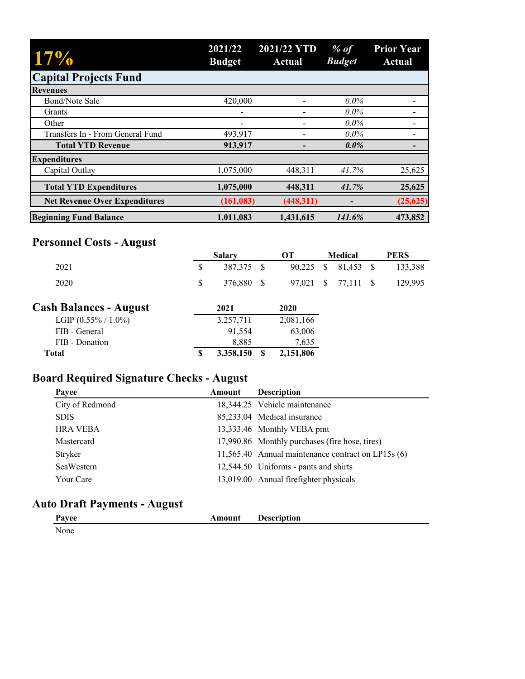| 17%                                  | 2021/22<br><b>Budget</b> | 2021/22 YTD<br>Actual | $%$ of<br><b>Budget</b> | <b>Prior Year</b><br><b>Actual</b> |
|--------------------------------------|--------------------------|-----------------------|-------------------------|------------------------------------|
| <b>Capital Projects Fund</b>         |                          |                       |                         |                                    |
| <b>Revenues</b>                      |                          |                       |                         |                                    |
| Bond/Note Sale                       | 420,000                  |                       | $0.0\%$                 |                                    |
| Grants                               |                          |                       | $0.0\%$                 |                                    |
| Other                                |                          |                       | $0.0\%$                 |                                    |
| Transfers In - From General Fund     | 493,917                  |                       | $0.0\%$                 |                                    |
| <b>Total YTD Revenue</b>             | 913,917                  |                       | $0.0\%$                 |                                    |
| <b>Expenditures</b>                  |                          |                       |                         |                                    |
| Capital Outlay                       | 1,075,000                | 448,311               | 41.7%                   | 25,625                             |
| <b>Total YTD Expenditures</b>        | 1,075,000                | 448,311               | 41.7%                   | 25,625                             |
| <b>Net Revenue Over Expenditures</b> | (161, 083)               | (448, 311)            |                         | (25, 625)                          |
| <b>Beginning Fund Balance</b>        | 1,011,083                | 1,431,615             | 141.6%                  | 473,852                            |

# **Personnel Costs - August**

|                               | <b>Salary</b> | OТ          | Medical             | <b>PERS</b> |
|-------------------------------|---------------|-------------|---------------------|-------------|
| 2021                          | 387,375 \$    |             | 90,225 \$ 81,453 \$ | 133,388     |
| 2020                          | 376,880 \$    |             | 97,021 \$ 77,111 \$ | 129.995     |
| <b>Cash Balances - August</b> | 2021          | <b>2020</b> |                     |             |
| LGIP $(0.55\% / 1.0\%)$       | 3.257.711     | 2.081.166   |                     |             |

| Total                   | 3.358.150 | 2,151,806 |
|-------------------------|-----------|-----------|
| FIB - Donation          | 8.885     | 7.635     |
| FIB - General           | 91.554    | 63,006    |
| LGIP $(0.55\% / 1.0\%)$ | 3.257.711 | 2,081,166 |

# **Board Required Signature Checks - August**

| Payee           | Amount | <b>Description</b>                                 |
|-----------------|--------|----------------------------------------------------|
| City of Redmond |        | 18,344.25 Vehicle maintenance                      |
| <b>SDIS</b>     |        | 85,233.04 Medical insurance                        |
| <b>HRA VEBA</b> |        | 13,333.46 Monthly VEBA pmt                         |
| Mastercard      |        | 17,990.86 Monthly purchases (fire hose, tires)     |
| Stryker         |        | 11,565.40 Annual maintenance contract on LP15s (6) |
| SeaWestern      |        | 12,544.50 Uniforms - pants and shirts              |
| Your Care       |        | 13,019.00 Annual firefighter physicals             |

## **Auto Draft Payments - August**

| Payee | Amount | <b>Description</b> |
|-------|--------|--------------------|
| None  |        |                    |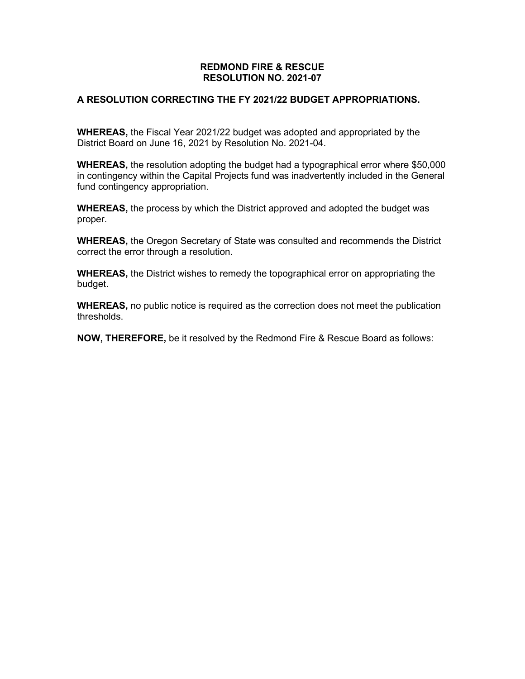#### **REDMOND FIRE & RESCUE RESOLUTION NO. 2021-07**

#### **A RESOLUTION CORRECTING THE FY 2021/22 BUDGET APPROPRIATIONS.**

**WHEREAS,** the Fiscal Year 2021/22 budget was adopted and appropriated by the District Board on June 16, 2021 by Resolution No. 2021-04.

**WHEREAS,** the resolution adopting the budget had a typographical error where \$50,000 in contingency within the Capital Projects fund was inadvertently included in the General fund contingency appropriation.

**WHEREAS,** the process by which the District approved and adopted the budget was proper.

**WHEREAS,** the Oregon Secretary of State was consulted and recommends the District correct the error through a resolution.

**WHEREAS,** the District wishes to remedy the topographical error on appropriating the budget.

**WHEREAS,** no public notice is required as the correction does not meet the publication thresholds.

**NOW, THEREFORE,** be it resolved by the Redmond Fire & Rescue Board as follows: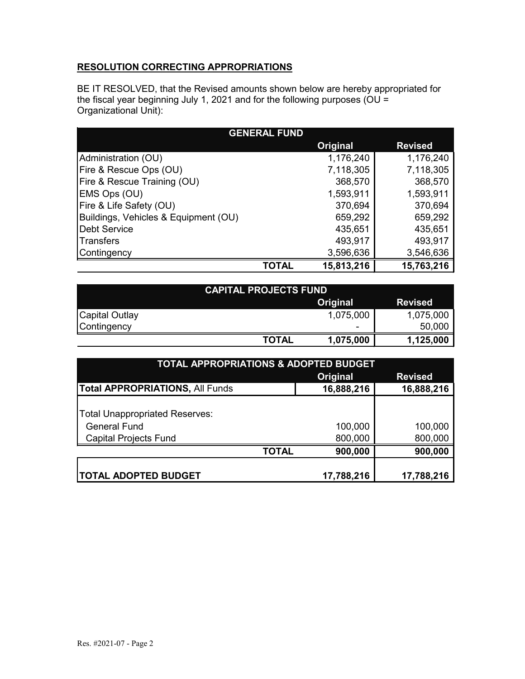## **RESOLUTION CORRECTING APPROPRIATIONS**

BE IT RESOLVED, that the Revised amounts shown below are hereby appropriated for the fiscal year beginning July 1, 2021 and for the following purposes (OU = Organizational Unit):

| <b>GENERAL FUND</b>                  |       |            |                |  |  |  |
|--------------------------------------|-------|------------|----------------|--|--|--|
|                                      |       | Original   | <b>Revised</b> |  |  |  |
| Administration (OU)                  |       | 1,176,240  | 1,176,240      |  |  |  |
| Fire & Rescue Ops (OU)               |       | 7,118,305  | 7,118,305      |  |  |  |
| Fire & Rescue Training (OU)          |       | 368,570    | 368,570        |  |  |  |
| EMS Ops (OU)                         |       | 1,593,911  | 1,593,911      |  |  |  |
| Fire & Life Safety (OU)              |       | 370,694    | 370,694        |  |  |  |
| Buildings, Vehicles & Equipment (OU) |       | 659,292    | 659,292        |  |  |  |
| <b>Debt Service</b>                  |       | 435,651    | 435,651        |  |  |  |
| Transfers                            |       | 493,917    | 493,917        |  |  |  |
| Contingency                          |       | 3,596,636  | 3,546,636      |  |  |  |
|                                      | TOTAL | 15,813,216 | 15,763,216     |  |  |  |

| <b>CAPITAL PROJECTS FUND</b> |              |           |                |  |  |
|------------------------------|--------------|-----------|----------------|--|--|
|                              |              | Original  | <b>Revised</b> |  |  |
| Capital Outlay               |              | 1,075,000 | 1,075,000      |  |  |
| Contingency                  |              | -         | 50,000         |  |  |
|                              | <b>TOTAL</b> | 1,075,000 | 1,125,000      |  |  |

| <b>TOTAL APPROPRIATIONS &amp; ADOPTED BUDGET</b> |              |            |                |  |  |  |
|--------------------------------------------------|--------------|------------|----------------|--|--|--|
|                                                  |              | Original   | <b>Revised</b> |  |  |  |
| <b>Total APPROPRIATIONS, All Funds</b>           |              | 16,888,216 | 16,888,216     |  |  |  |
|                                                  |              |            |                |  |  |  |
| <b>Total Unappropriated Reserves:</b>            |              |            |                |  |  |  |
| <b>General Fund</b>                              |              | 100,000    | 100,000        |  |  |  |
| <b>Capital Projects Fund</b>                     |              | 800,000    | 800,000        |  |  |  |
|                                                  | <b>TOTAL</b> | 900,000    | 900,000        |  |  |  |
|                                                  |              |            |                |  |  |  |
| <b>TOTAL ADOPTED BUDGET</b>                      |              | 17,788,216 | 17,788,216     |  |  |  |